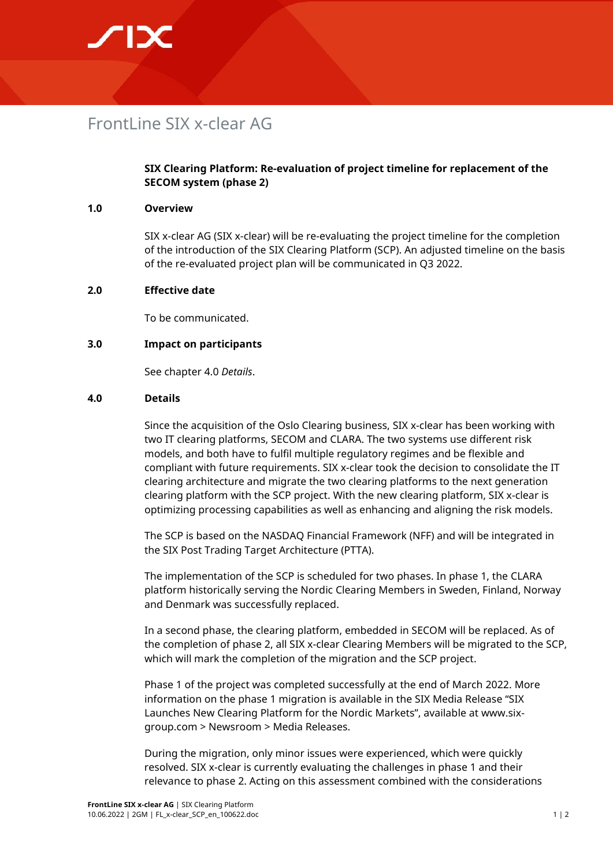## **SIX**

### FrontLine SIX x-clear AG

#### **SIX Clearing Platform: Re-evaluation of project timeline for replacement of the SECOM system (phase 2)**

#### **1.0 Overview**

SIX x-clear AG (SIX x-clear) will be re-evaluating the project timeline for the completion of the introduction of the SIX Clearing Platform (SCP). An adjusted timeline on the basis of the re-evaluated project plan will be communicated in Q3 2022.

#### **2.0 Effective date**

To be communicated.

#### **3.0 Impact on participants**

See chapter 4.0 *Details*.

#### **4.0 Details**

Since the acquisition of the Oslo Clearing business, SIX x-clear has been working with two IT clearing platforms, SECOM and CLARA. The two systems use different risk models, and both have to fulfil multiple regulatory regimes and be flexible and compliant with future requirements. SIX x-clear took the decision to consolidate the IT clearing architecture and migrate the two clearing platforms to the next generation clearing platform with the SCP project. With the new clearing platform, SIX x-clear is optimizing processing capabilities as well as enhancing and aligning the risk models.

The SCP is based on the NASDAQ Financial Framework (NFF) and will be integrated in the SIX Post Trading Target Architecture (PTTA).

The implementation of the SCP is scheduled for two phases. In phase 1, the CLARA platform historically serving the Nordic Clearing Members in Sweden, Finland, Norway and Denmark was successfully replaced.

In a second phase, the clearing platform, embedded in SECOM will be replaced. As of the completion of phase 2, all SIX x-clear Clearing Members will be migrated to the SCP, which will mark the completion of the migration and the SCP project.

Phase 1 of the project was completed successfully at the end of March 2022. More information on the phase 1 migration is available in the SIX Media Release "SIX Launches New Clearing Platform for the Nordic Markets", available at www.sixgroup.com > Newsroom > Media Releases.

During the migration, only minor issues were experienced, which were quickly resolved. SIX x-clear is currently evaluating the challenges in phase 1 and their relevance to phase 2. Acting on this assessment combined with the considerations